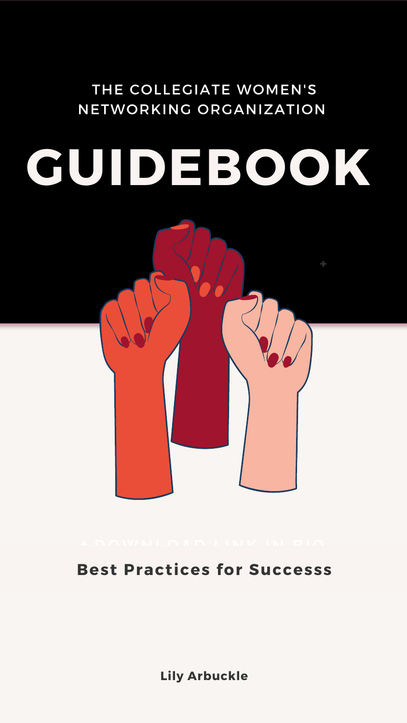# **GUIDEBOOK**

**+**



#### THE COLLEGIATE WOMEN'S NETWORKING ORGANIZATION

#### **Best Practices for Successs**

**Lily Arbuckle**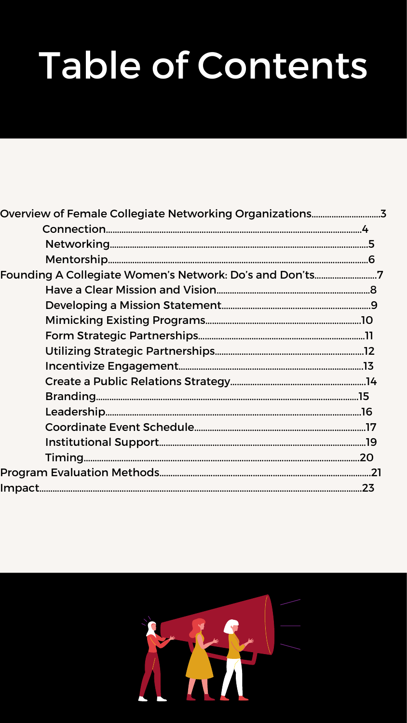| Overview of Female Collegiate Networking Organizations3 |     |
|---------------------------------------------------------|-----|
|                                                         |     |
|                                                         |     |
|                                                         |     |
| Founding A Collegiate Women's Network: Do's and Don'ts7 |     |
|                                                         |     |
|                                                         |     |
|                                                         |     |
|                                                         |     |
|                                                         |     |
|                                                         |     |
|                                                         |     |
|                                                         |     |
|                                                         |     |
|                                                         |     |
|                                                         |     |
|                                                         | .20 |
|                                                         |     |
|                                                         |     |



# Table of Contents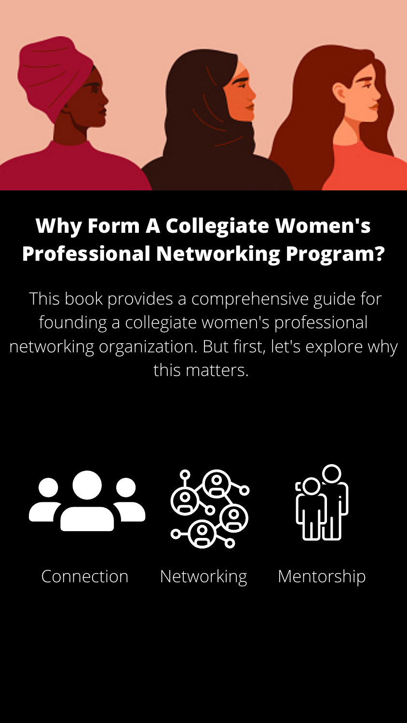

#### **Why Form A Collegiate Women's Professional Networking Program?**

This book provides a comprehensive guide for founding a collegiate women's professional networking organization. But first, let's explore why this matters.



#### Connection Networking Mentorship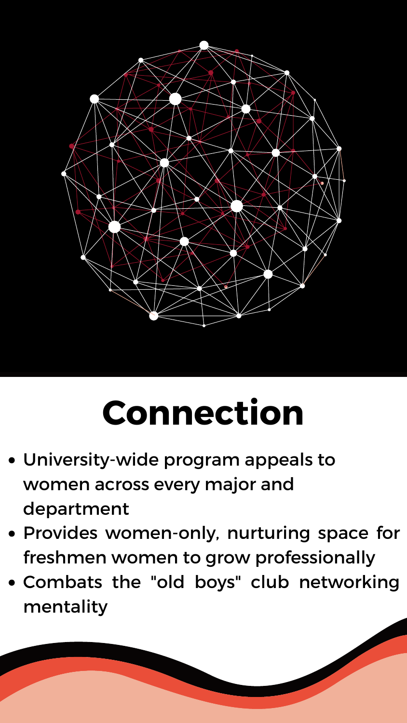

## **Connection**

- University-wide program appeals to women across every major and department
- Provides women-only, nurturing space for freshmen women to grow professionally
- Combats the "old boys" club networking mentality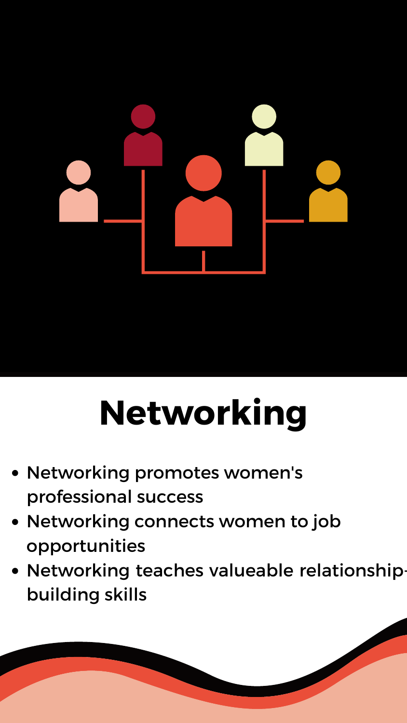

## **Networking**

- Networking promotes women's professional success
- Networking connects women to job opportunities
- Networking teaches valueable relationshipbuilding skills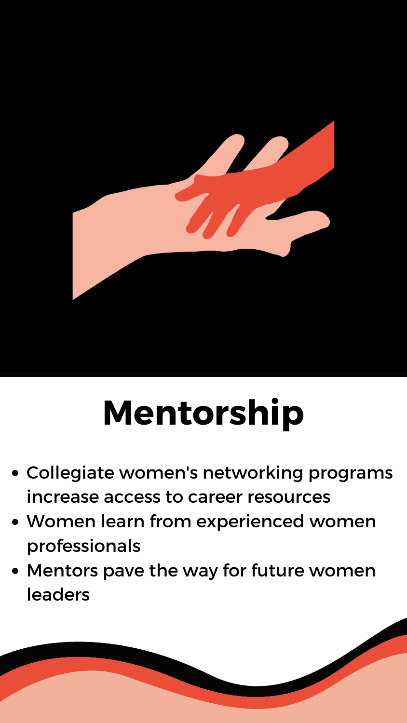

## **Mentorship**

- Collegiate women's networking programs increase access to career resources
- Women learn from experienced women professionals
- Mentors pave the way for future women leaders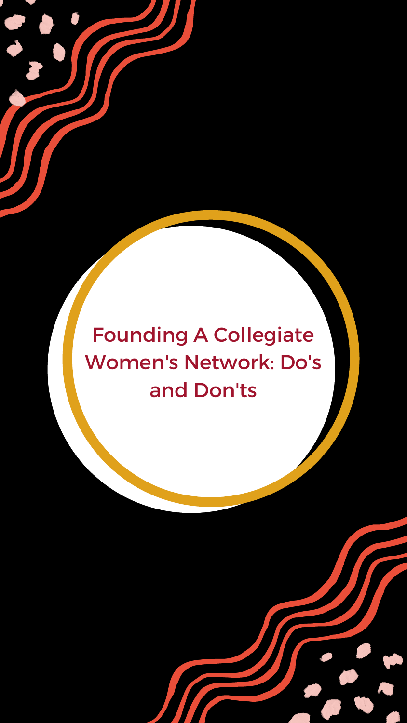Founding A Collegiate Women's Network: Do's and Don'ts

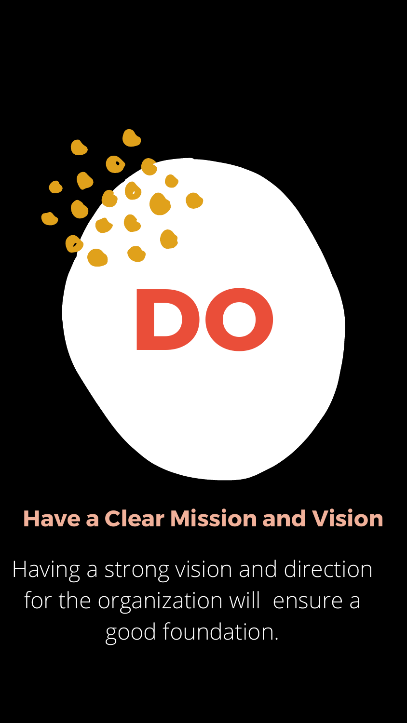

#### **Have a Clear Mission and Vision**

Having a strong vision and direction for the organization will ensure a good foundation.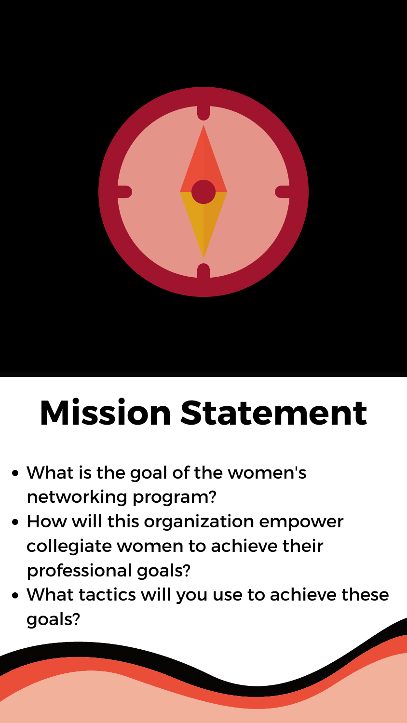

## **Mission Statement**

- What is the goal of the women's networking program?
- How will this organization empower collegiate women to achieve their professional goals?
- What tactics will you use to achieve these goals?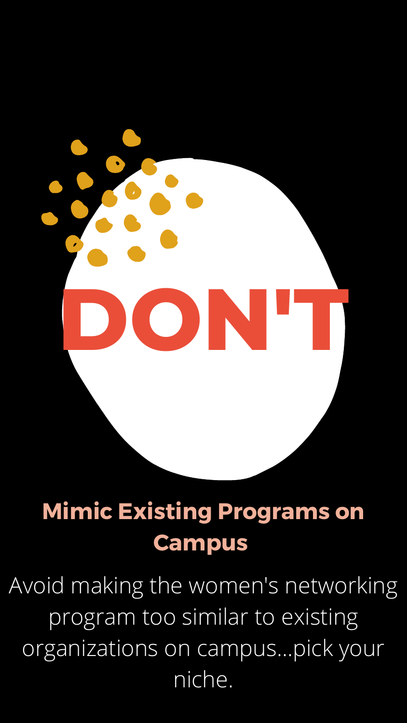

### **Mimic Existing Programs on Campus**

Avoid making the women's networking program too similar to existing organizations on campus...pick your niche.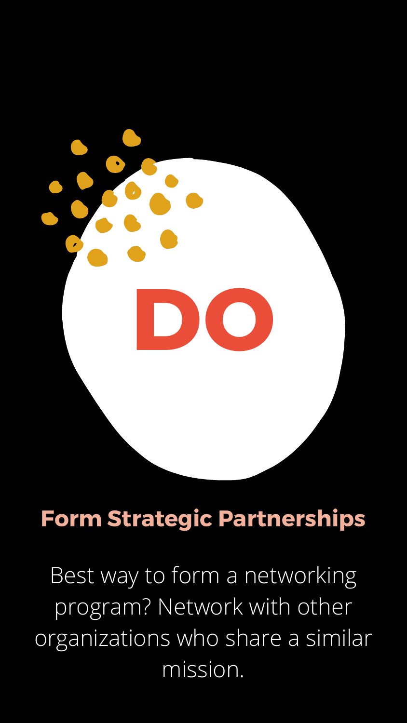

#### **Form Strategic Partnerships**

Best way to form a networking program? Network with other organizations who share a similar mission.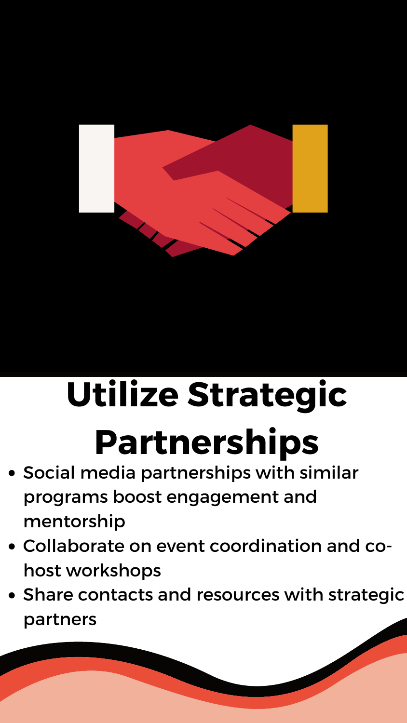# **Utilize Strategic Partnerships**



- Social media partnerships with similar programs boost engagement and mentorship
- Collaborate on event coordination and cohost workshops
- Share contacts and resources with strategic partners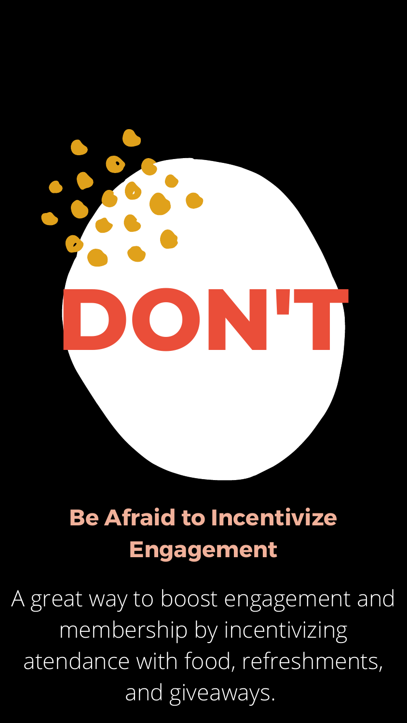

## **Be Afraid to Incentivize Engagement**

A great way to boost engagement and membership by incentivizing atendance with food, refreshments, and giveaways.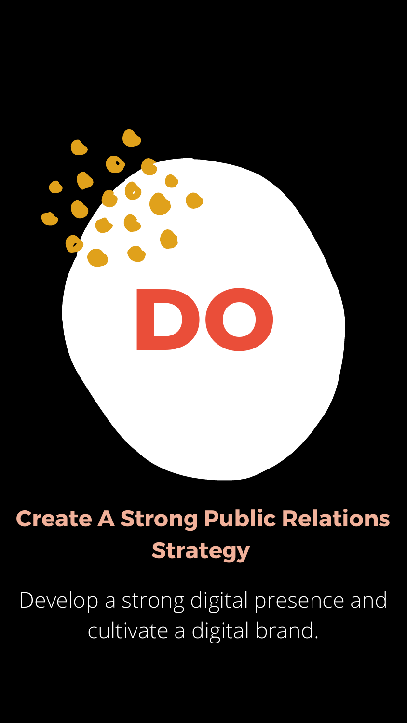

## **Create A Strong Public Relations Strategy**

Develop a strong digital presence and cultivate a digital brand.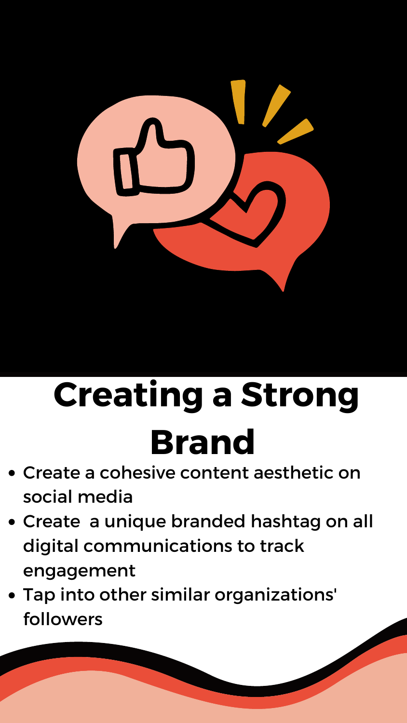

## **Creating a Strong** ral

- Create a cohesive content aesthetic on social media
- Create a unique branded hashtag on all digital communications to track engagement
- Tap into other similar organizations' followers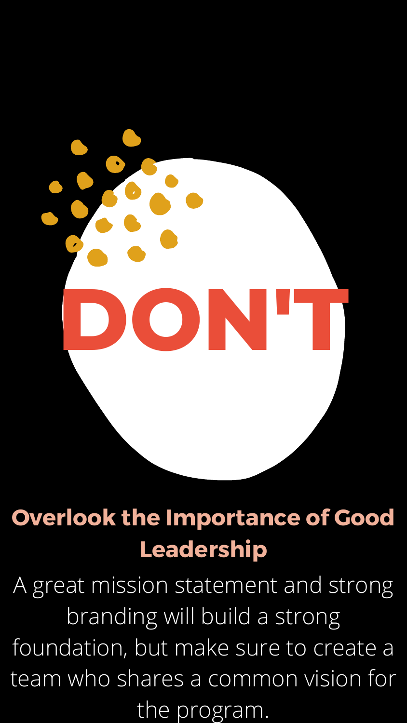

## **Overlook the Importance of Good Leadership**

A great mission statement and strong branding will build a strong foundation, but make sure to create a team who shares a common vision for the program.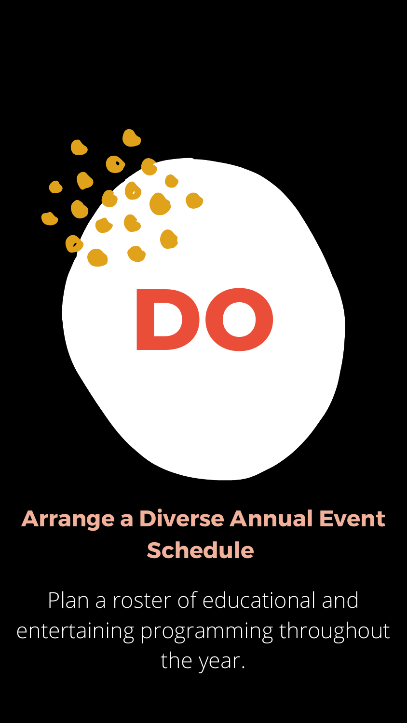

### **Arrange a Diverse Annual Event Schedule**

Plan a roster of educational and entertaining programming throughout the year.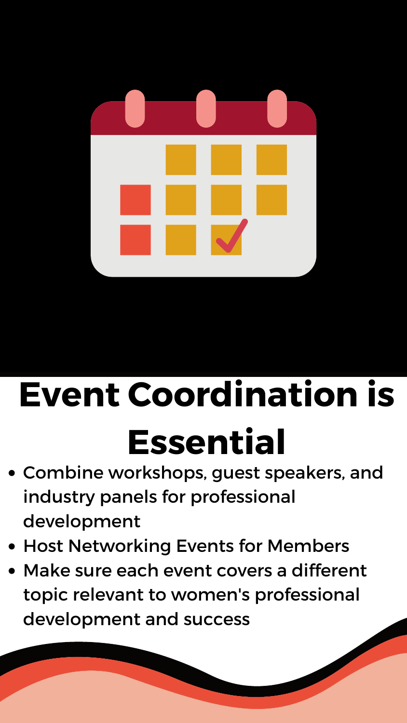

## **Event Coordination is Essential**

- Combine workshops, guest speakers, and industry panels for professional development
- Host Networking Events for Members
- Make sure each event covers a different topic relevant to women's professional development and success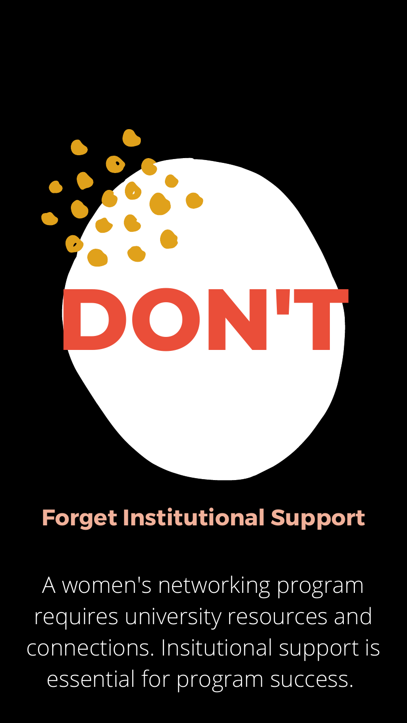

#### **Forget Institutional Support**

A women's networking program requires university resources and connections. Insitutional support is essential for program success.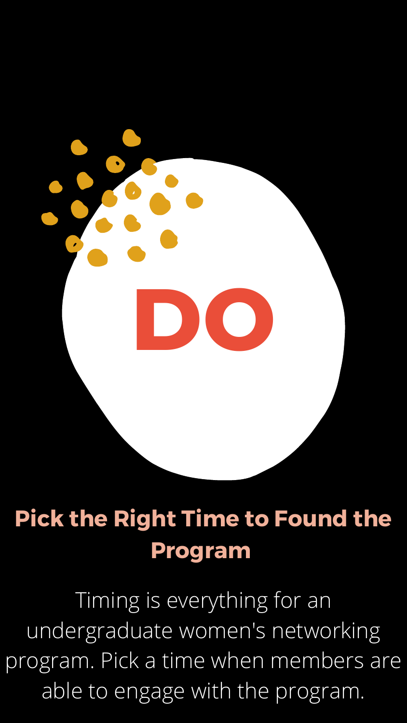

## **Pick the Right Time to Found the Program**

Timing is everything for an undergraduate women's networking program. Pick a time when members are able to engage with the program.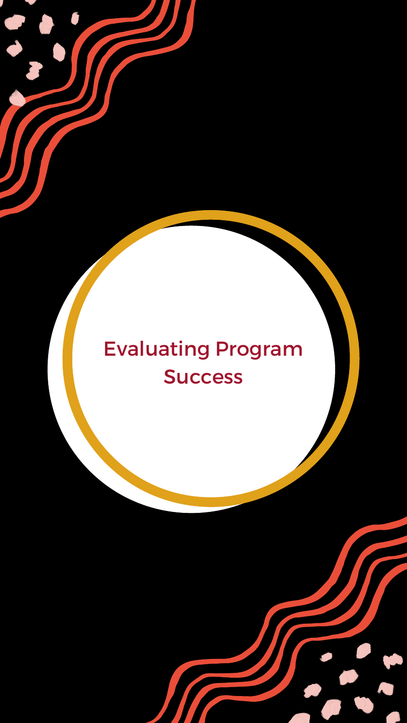#### Evaluating Program Success

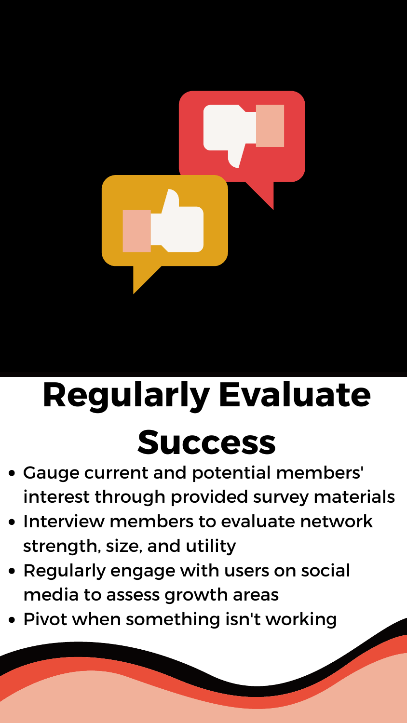## **Regularly Evaluate Success**

- Gauge current and potential members' interest through provided survey materials
- Interview members to evaluate network strength, size, and utility
- Regularly engage with users on social media to assess growth areas
- Pivot when something isn't working